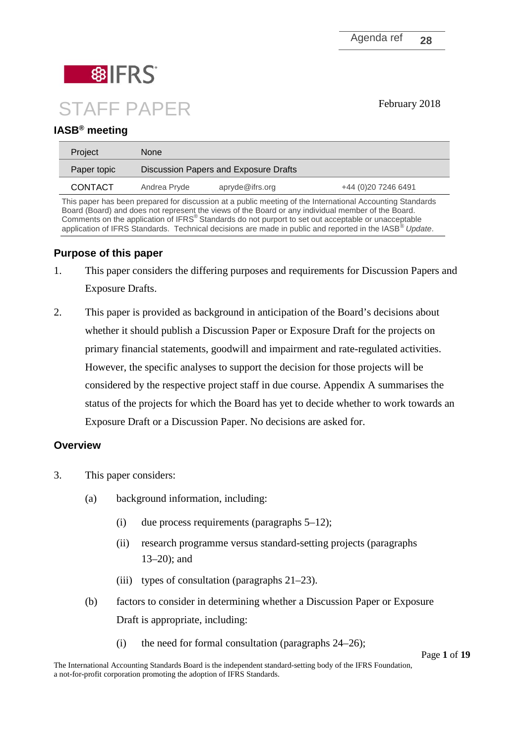

# STAFF PAPER February 2018

# **IASB® meeting**

| Project     | <b>None</b>                           |                              |                      |
|-------------|---------------------------------------|------------------------------|----------------------|
| Paper topic | Discussion Papers and Exposure Drafts |                              |                      |
| CONTACT     | Andrea Pryde                          | $\alpha$ apryde $@$ ifrs.org | +44 (0) 20 7246 6491 |

This paper has been prepared for discussion at a public meeting of the International Accounting Standards Board (Board) and does not represent the views of the Board or any individual member of the Board. Comments on the application of IFRS<sup>®</sup> Standards do not purport to set out acceptable or unacceptable application of IFRS Standards. Technical decisions are made in public and reported in the IASB® *Update*.

# **Purpose of this paper**

- 1. This paper considers the differing purposes and requirements for Discussion Papers and Exposure Drafts.
- 2. This paper is provided as background in anticipation of the Board's decisions about whether it should publish a Discussion Paper or Exposure Draft for the projects on primary financial statements, goodwill and impairment and rate-regulated activities. However, the specific analyses to support the decision for those projects will be considered by the respective project staff in due course. Appendix A summarises the status of the projects for which the Board has yet to decide whether to work towards an Exposure Draft or a Discussion Paper. No decisions are asked for.

## **Overview**

- 3. This paper considers:
	- (a) background information, including:
		- (i) due process requirements (paragraphs [5–](#page-1-0)[12\)](#page-3-0);
		- (ii) research programme versus standard-setting projects (paragraphs [13](#page-3-1)[–20\)](#page-5-0); and
		- (iii) types of consultation (paragraphs [21–](#page-5-1)[23\)](#page-6-0).
	- (b) factors to consider in determining whether a Discussion Paper or Exposure Draft is appropriate, including:
		- (i) the need for formal consultation (paragraphs  $24-26$ );

Page **1** of **19**

The International Accounting Standards Board is the independent standard-setting body of the IFRS Foundation, a not-for-profit corporation promoting the adoption of IFRS Standards.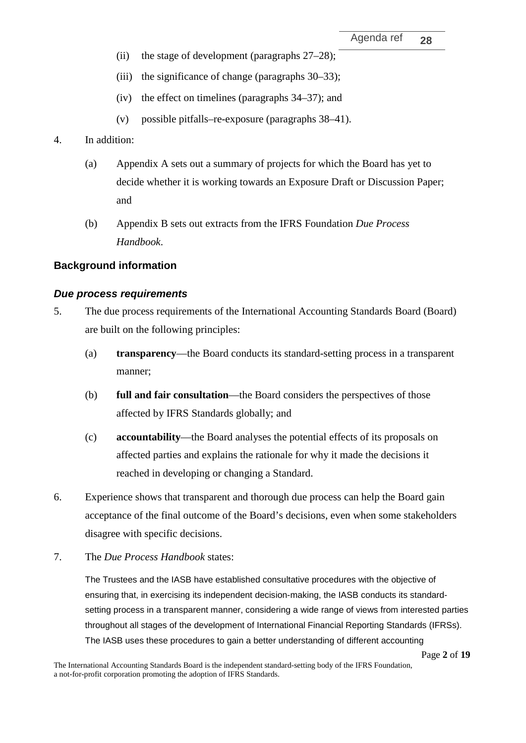- (ii) the stage of development (paragraphs  $27-28$ );
- (iii) the significance of change (paragraphs  $30-33$ );
- (iv) the effect on timelines (paragraphs [34–](#page-9-2)[37\)](#page-10-0); and
- (v) possible pitfalls–re-exposure (paragraphs [38](#page-10-1)[–41\)](#page-12-0).
- 4. In addition:
	- (a) Appendix A sets out a summary of projects for which the Board has yet to decide whether it is working towards an Exposure Draft or Discussion Paper; and
	- (b) Appendix B sets out extracts from the IFRS Foundation *Due Process Handbook*.

#### **Background information**

#### *Due process requirements*

- <span id="page-1-0"></span>5. The due process requirements of the International Accounting Standards Board (Board) are built on the following principles:
	- (a) **transparency**—the Board conducts its standard-setting process in a transparent manner;
	- (b) **full and fair consultation**—the Board considers the perspectives of those affected by IFRS Standards globally; and
	- (c) **accountability**—the Board analyses the potential effects of its proposals on affected parties and explains the rationale for why it made the decisions it reached in developing or changing a Standard.
- 6. Experience shows that transparent and thorough due process can help the Board gain acceptance of the final outcome of the Board's decisions, even when some stakeholders disagree with specific decisions.
- 7. The *Due Process Handbook* states:

The Trustees and the IASB have established consultative procedures with the objective of ensuring that, in exercising its independent decision-making, the IASB conducts its standardsetting process in a transparent manner, considering a wide range of views from interested parties throughout all stages of the development of International Financial Reporting Standards (IFRSs). The IASB uses these procedures to gain a better understanding of different accounting

Page **2** of **19**

The International Accounting Standards Board is the independent standard-setting body of the IFRS Foundation, a not-for-profit corporation promoting the adoption of IFRS Standards.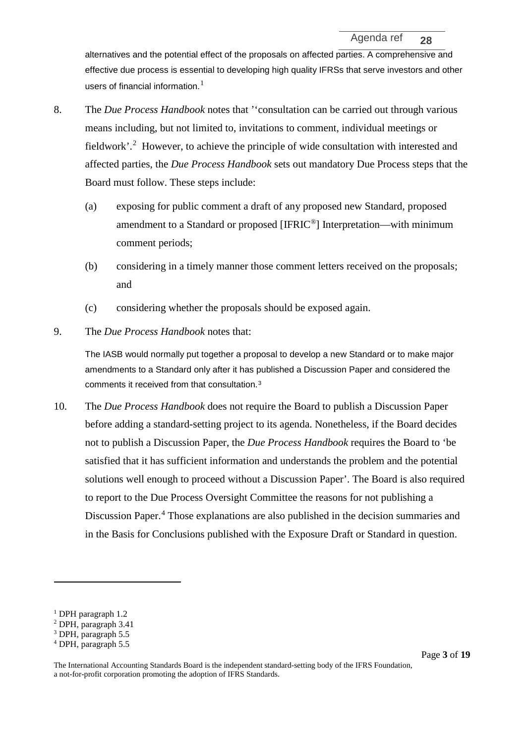alternatives and the potential effect of the proposals on affected parties. A comprehensive and effective due process is essential to developing high quality IFRSs that serve investors and other users of financial information. $<sup>1</sup>$  $<sup>1</sup>$  $<sup>1</sup>$ </sup>

- 8. The *Due Process Handbook* notes that ''consultation can be carried out through various means including, but not limited to, invitations to comment, individual meetings or fieldwork'.<sup>[2](#page-2-1)</sup> However, to achieve the principle of wide consultation with interested and affected parties, the *Due Process Handbook* sets out mandatory Due Process steps that the Board must follow. These steps include:
	- (a) exposing for public comment a draft of any proposed new Standard, proposed amendment to a Standard or proposed [IFRIC®] Interpretation—with minimum comment periods;
	- (b) considering in a timely manner those comment letters received on the proposals; and
	- (c) considering whether the proposals should be exposed again.
- 9. The *Due Process Handbook* notes that:

The IASB would normally put together a proposal to develop a new Standard or to make major amendments to a Standard only after it has published a Discussion Paper and considered the comments it received from that consultation.[3](#page-2-2)

10. The *Due Process Handbook* does not require the Board to publish a Discussion Paper before adding a standard-setting project to its agenda. Nonetheless, if the Board decides not to publish a Discussion Paper, the *Due Process Handbook* requires the Board to 'be satisfied that it has sufficient information and understands the problem and the potential solutions well enough to proceed without a Discussion Paper'. The Board is also required to report to the Due Process Oversight Committee the reasons for not publishing a Discussion Paper.<sup>[4](#page-2-3)</sup> Those explanations are also published in the decision summaries and in the Basis for Conclusions published with the Exposure Draft or Standard in question.

1

<span id="page-2-0"></span><sup>1</sup> DPH paragraph 1.2

<span id="page-2-1"></span><sup>2</sup> DPH, paragraph 3.41

<span id="page-2-2"></span><sup>3</sup> DPH, paragraph 5.5

<span id="page-2-3"></span><sup>4</sup> DPH, paragraph 5.5

The International Accounting Standards Board is the independent standard-setting body of the IFRS Foundation, a not-for-profit corporation promoting the adoption of IFRS Standards.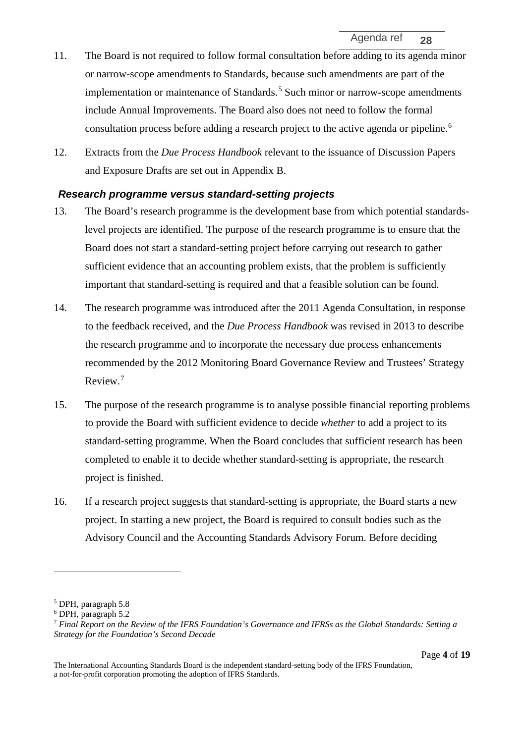- 11. The Board is not required to follow formal consultation before adding to its agenda minor or narrow-scope amendments to Standards, because such amendments are part of the implementation or maintenance of Standards.<sup>[5](#page-3-2)</sup> Such minor or narrow-scope amendments include Annual Improvements. The Board also does not need to follow the formal consultation process before adding a research project to the active agenda or pipeline.<sup>[6](#page-3-3)</sup>
- <span id="page-3-0"></span>12. Extracts from the *Due Process Handbook* relevant to the issuance of Discussion Papers and Exposure Drafts are set out in Appendix B.

#### *Research programme versus standard-setting projects*

- <span id="page-3-1"></span>13. The Board's research programme is the development base from which potential standardslevel projects are identified. The purpose of the research programme is to ensure that the Board does not start a standard-setting project before carrying out research to gather sufficient evidence that an accounting problem exists, that the problem is sufficiently important that standard-setting is required and that a feasible solution can be found.
- 14. The research programme was introduced after the 2011 Agenda Consultation, in response to the feedback received, and the *Due Process Handbook* was revised in 2013 to describe the research programme and to incorporate the necessary due process enhancements recommended by the 2012 Monitoring Board Governance Review and Trustees' Strategy Review.[7](#page-3-4)
- <span id="page-3-5"></span>15. The purpose of the research programme is to analyse possible financial reporting problems to provide the Board with sufficient evidence to decide *whether* to add a project to its standard-setting programme. When the Board concludes that sufficient research has been completed to enable it to decide whether standard-setting is appropriate, the research project is finished.
- 16. If a research project suggests that standard-setting is appropriate, the Board starts a new project. In starting a new project, the Board is required to consult bodies such as the Advisory Council and the Accounting Standards Advisory Forum. Before deciding

 $\overline{a}$ 

Page **4** of **19**

<span id="page-3-2"></span><sup>5</sup> DPH, paragraph 5.8

<span id="page-3-3"></span><sup>6</sup> DPH, paragraph 5.2

<span id="page-3-4"></span><sup>7</sup> *Final Report on the Review of the IFRS Foundation's Governance and IFRSs as the Global Standards: Setting a Strategy for the Foundation's Second Decade*

The International Accounting Standards Board is the independent standard-setting body of the IFRS Foundation, a not-for-profit corporation promoting the adoption of IFRS Standards.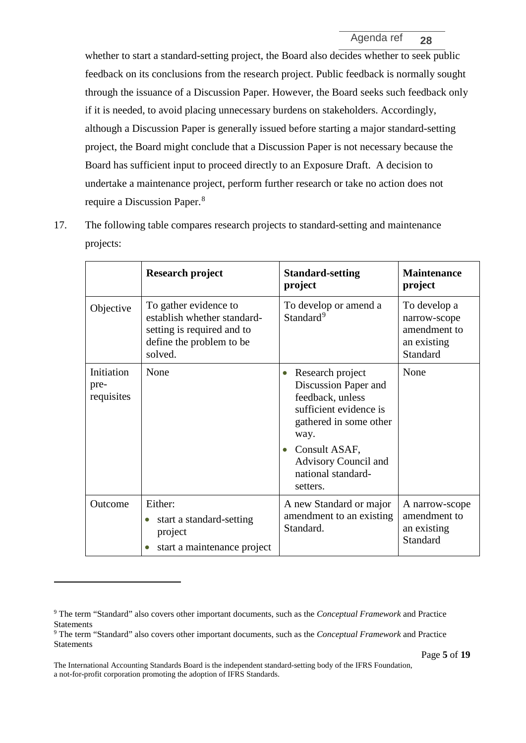whether to start a standard-setting project, the Board also decides whether to seek public feedback on its conclusions from the research project. Public feedback is normally sought through the issuance of a Discussion Paper. However, the Board seeks such feedback only if it is needed, to avoid placing unnecessary burdens on stakeholders. Accordingly, although a Discussion Paper is generally issued before starting a major standard-setting project, the Board might conclude that a Discussion Paper is not necessary because the Board has sufficient input to proceed directly to an Exposure Draft. A decision to undertake a maintenance project, perform further research or take no action does not require a Discussion Paper. [8](#page-4-0)

17. The following table compares research projects to standard-setting and maintenance projects:

|                                  | <b>Research project</b>                                                                                                   | <b>Standard-setting</b><br>project                                                                                                                                                                                            | <b>Maintenance</b><br>project                                           |
|----------------------------------|---------------------------------------------------------------------------------------------------------------------------|-------------------------------------------------------------------------------------------------------------------------------------------------------------------------------------------------------------------------------|-------------------------------------------------------------------------|
| Objective                        | To gather evidence to<br>establish whether standard-<br>setting is required and to<br>define the problem to be<br>solved. | To develop or amend a<br>Standard <sup>9</sup>                                                                                                                                                                                | To develop a<br>narrow-scope<br>amendment to<br>an existing<br>Standard |
| Initiation<br>pre-<br>requisites | None                                                                                                                      | Research project<br>$\bullet$<br>Discussion Paper and<br>feedback, unless<br>sufficient evidence is<br>gathered in some other<br>way.<br>Consult ASAF,<br>$\bullet$<br>Advisory Council and<br>national standard-<br>setters. | None                                                                    |
| Outcome                          | Either:<br>start a standard-setting<br>project<br>start a maintenance project                                             | A new Standard or major<br>amendment to an existing<br>Standard.                                                                                                                                                              | A narrow-scope<br>amendment to<br>an existing<br>Standard               |

1

<span id="page-4-0"></span><sup>9</sup> The term "Standard" also covers other important documents, such as the *Conceptual Framework* and Practice Statements

<span id="page-4-1"></span><sup>9</sup> The term "Standard" also covers other important documents, such as the *Conceptual Framework* and Practice **Statements** 

The International Accounting Standards Board is the independent standard-setting body of the IFRS Foundation, a not-for-profit corporation promoting the adoption of IFRS Standards.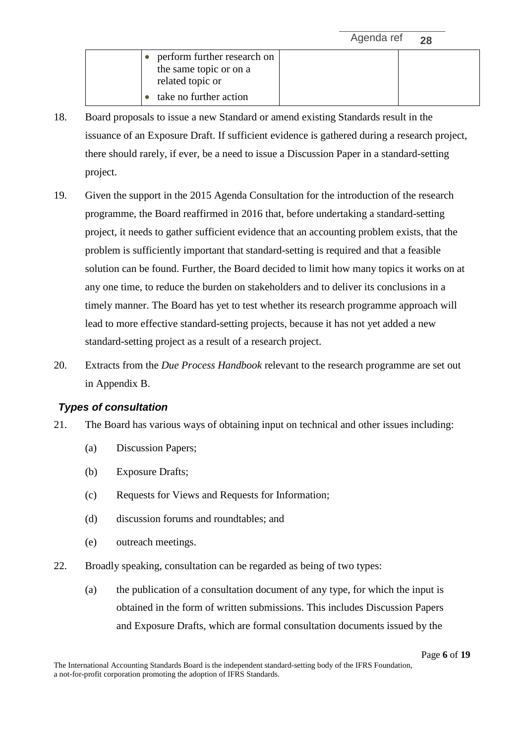| perform further research on<br>the same topic or on a<br>related topic or |  |
|---------------------------------------------------------------------------|--|
| take no further action                                                    |  |

- 18. Board proposals to issue a new Standard or amend existing Standards result in the issuance of an Exposure Draft. If sufficient evidence is gathered during a research project, there should rarely, if ever, be a need to issue a Discussion Paper in a standard-setting project.
- 19. Given the support in the 2015 Agenda Consultation for the introduction of the research programme, the Board reaffirmed in 2016 that, before undertaking a standard-setting project, it needs to gather sufficient evidence that an accounting problem exists, that the problem is sufficiently important that standard-setting is required and that a feasible solution can be found. Further, the Board decided to limit how many topics it works on at any one time, to reduce the burden on stakeholders and to deliver its conclusions in a timely manner. The Board has yet to test whether its research programme approach will lead to more effective standard-setting projects, because it has not yet added a new standard-setting project as a result of a research project.
- <span id="page-5-0"></span>20. Extracts from the *Due Process Handbook* relevant to the research programme are set out in Appendix B.

## *Types of consultation*

- <span id="page-5-1"></span>21. The Board has various ways of obtaining input on technical and other issues including:
	- (a) Discussion Papers;
	- (b) Exposure Drafts;
	- (c) Requests for Views and Requests for Information;
	- (d) discussion forums and roundtables; and
	- (e) outreach meetings.
- <span id="page-5-2"></span>22. Broadly speaking, consultation can be regarded as being of two types:
	- (a) the publication of a consultation document of any type, for which the input is obtained in the form of written submissions. This includes Discussion Papers and Exposure Drafts, which are formal consultation documents issued by the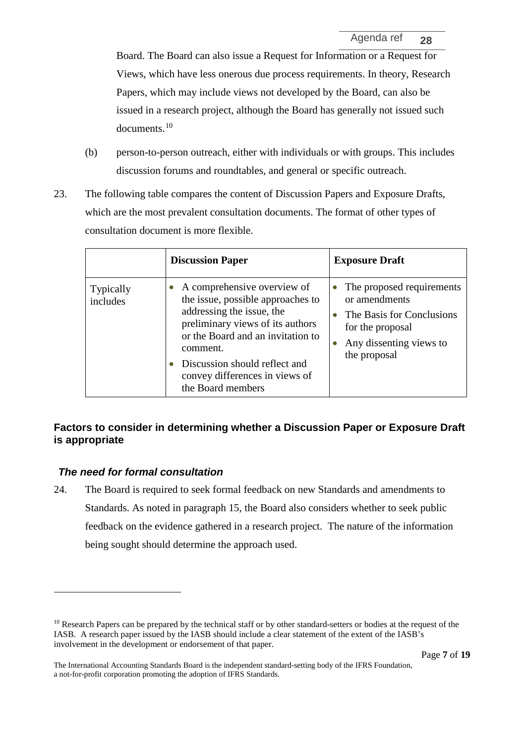Board. The Board can also issue a Request for Information or a Request for Views, which have less onerous due process requirements. In theory, Research Papers, which may include views not developed by the Board, can also be issued in a research project, although the Board has generally not issued such documents.[10](#page-6-2)

- (b) person-to-person outreach, either with individuals or with groups. This includes discussion forums and roundtables, and general or specific outreach.
- <span id="page-6-0"></span>23. The following table compares the content of Discussion Papers and Exposure Drafts, which are the most prevalent consultation documents. The format of other types of consultation document is more flexible.

|                       | <b>Discussion Paper</b>                                                                                                                                                                                                                                                              | <b>Exposure Draft</b>                                                                                                                                 |
|-----------------------|--------------------------------------------------------------------------------------------------------------------------------------------------------------------------------------------------------------------------------------------------------------------------------------|-------------------------------------------------------------------------------------------------------------------------------------------------------|
| Typically<br>includes | $\bullet$ A comprehensive overview of<br>the issue, possible approaches to<br>addressing the issue, the<br>preliminary views of its authors<br>or the Board and an invitation to<br>comment.<br>Discussion should reflect and<br>convey differences in views of<br>the Board members | The proposed requirements<br>$\bullet$<br>or amendments<br>• The Basis for Conclusions<br>for the proposal<br>Any dissenting views to<br>the proposal |

# **Factors to consider in determining whether a Discussion Paper or Exposure Draft is appropriate**

# *The need for formal consultation*

 $\ddot{\phantom{a}}$ 

<span id="page-6-1"></span>24. The Board is required to seek formal feedback on new Standards and amendments to Standards. As noted in paragraph [15,](#page-3-5) the Board also considers whether to seek public feedback on the evidence gathered in a research project. The nature of the information being sought should determine the approach used.

Page **7** of **19**

<span id="page-6-2"></span><sup>&</sup>lt;sup>10</sup> Research Papers can be prepared by the technical staff or by other standard-setters or bodies at the request of the IASB. A research paper issued by the IASB should include a clear statement of the extent of the IASB's involvement in the development or endorsement of that paper.

The International Accounting Standards Board is the independent standard-setting body of the IFRS Foundation, a not-for-profit corporation promoting the adoption of IFRS Standards.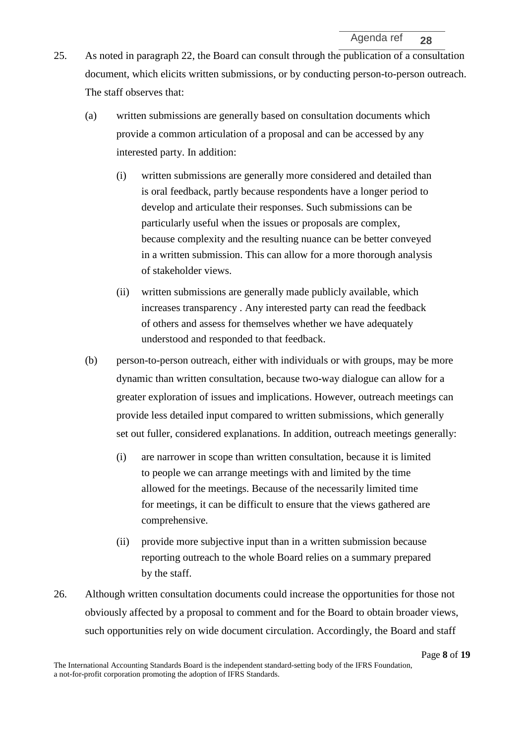- 25. As noted in paragraph [22,](#page-5-2) the Board can consult through the publication of a consultation document, which elicits written submissions, or by conducting person-to-person outreach. The staff observes that:
	- (a) written submissions are generally based on consultation documents which provide a common articulation of a proposal and can be accessed by any interested party. In addition:
		- (i) written submissions are generally more considered and detailed than is oral feedback, partly because respondents have a longer period to develop and articulate their responses. Such submissions can be particularly useful when the issues or proposals are complex, because complexity and the resulting nuance can be better conveyed in a written submission. This can allow for a more thorough analysis of stakeholder views.
		- (ii) written submissions are generally made publicly available, which increases transparency . Any interested party can read the feedback of others and assess for themselves whether we have adequately understood and responded to that feedback.
	- (b) person-to-person outreach, either with individuals or with groups, may be more dynamic than written consultation, because two-way dialogue can allow for a greater exploration of issues and implications. However, outreach meetings can provide less detailed input compared to written submissions, which generally set out fuller, considered explanations. In addition, outreach meetings generally:
		- (i) are narrower in scope than written consultation, because it is limited to people we can arrange meetings with and limited by the time allowed for the meetings. Because of the necessarily limited time for meetings, it can be difficult to ensure that the views gathered are comprehensive.
		- (ii) provide more subjective input than in a written submission because reporting outreach to the whole Board relies on a summary prepared by the staff.
- <span id="page-7-0"></span>26. Although written consultation documents could increase the opportunities for those not obviously affected by a proposal to comment and for the Board to obtain broader views, such opportunities rely on wide document circulation. Accordingly, the Board and staff

Page **8** of **19**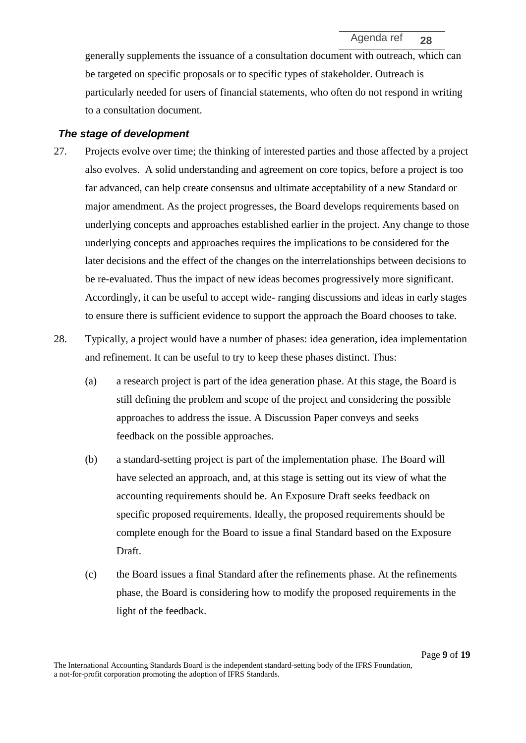generally supplements the issuance of a consultation document with outreach, which can be targeted on specific proposals or to specific types of stakeholder. Outreach is particularly needed for users of financial statements, who often do not respond in writing to a consultation document.

#### *The stage of development*

- <span id="page-8-0"></span>27. Projects evolve over time; the thinking of interested parties and those affected by a project also evolves. A solid understanding and agreement on core topics, before a project is too far advanced, can help create consensus and ultimate acceptability of a new Standard or major amendment. As the project progresses, the Board develops requirements based on underlying concepts and approaches established earlier in the project. Any change to those underlying concepts and approaches requires the implications to be considered for the later decisions and the effect of the changes on the interrelationships between decisions to be re-evaluated. Thus the impact of new ideas becomes progressively more significant. Accordingly, it can be useful to accept wide- ranging discussions and ideas in early stages to ensure there is sufficient evidence to support the approach the Board chooses to take.
- <span id="page-8-1"></span>28. Typically, a project would have a number of phases: idea generation, idea implementation and refinement. It can be useful to try to keep these phases distinct. Thus:
	- (a) a research project is part of the idea generation phase. At this stage, the Board is still defining the problem and scope of the project and considering the possible approaches to address the issue. A Discussion Paper conveys and seeks feedback on the possible approaches.
	- (b) a standard-setting project is part of the implementation phase. The Board will have selected an approach, and, at this stage is setting out its view of what the accounting requirements should be. An Exposure Draft seeks feedback on specific proposed requirements. Ideally, the proposed requirements should be complete enough for the Board to issue a final Standard based on the Exposure Draft.
	- (c) the Board issues a final Standard after the refinements phase. At the refinements phase, the Board is considering how to modify the proposed requirements in the light of the feedback.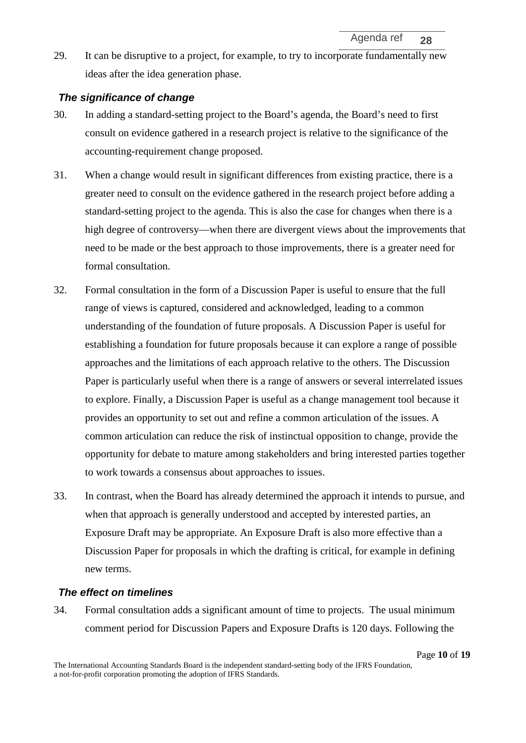29. It can be disruptive to a project, for example, to try to incorporate fundamentally new ideas after the idea generation phase.

### *The significance of change*

- <span id="page-9-0"></span>30. In adding a standard-setting project to the Board's agenda, the Board's need to first consult on evidence gathered in a research project is relative to the significance of the accounting-requirement change proposed.
- 31. When a change would result in significant differences from existing practice, there is a greater need to consult on the evidence gathered in the research project before adding a standard-setting project to the agenda. This is also the case for changes when there is a high degree of controversy—when there are divergent views about the improvements that need to be made or the best approach to those improvements, there is a greater need for formal consultation.
- 32. Formal consultation in the form of a Discussion Paper is useful to ensure that the full range of views is captured, considered and acknowledged, leading to a common understanding of the foundation of future proposals. A Discussion Paper is useful for establishing a foundation for future proposals because it can explore a range of possible approaches and the limitations of each approach relative to the others. The Discussion Paper is particularly useful when there is a range of answers or several interrelated issues to explore. Finally, a Discussion Paper is useful as a change management tool because it provides an opportunity to set out and refine a common articulation of the issues. A common articulation can reduce the risk of instinctual opposition to change, provide the opportunity for debate to mature among stakeholders and bring interested parties together to work towards a consensus about approaches to issues.
- <span id="page-9-1"></span>33. In contrast, when the Board has already determined the approach it intends to pursue, and when that approach is generally understood and accepted by interested parties, an Exposure Draft may be appropriate. An Exposure Draft is also more effective than a Discussion Paper for proposals in which the drafting is critical, for example in defining new terms.

#### *The effect on timelines*

<span id="page-9-2"></span>34. Formal consultation adds a significant amount of time to projects. The usual minimum comment period for Discussion Papers and Exposure Drafts is 120 days. Following the

Page **10** of **19**

The International Accounting Standards Board is the independent standard-setting body of the IFRS Foundation, a not-for-profit corporation promoting the adoption of IFRS Standards.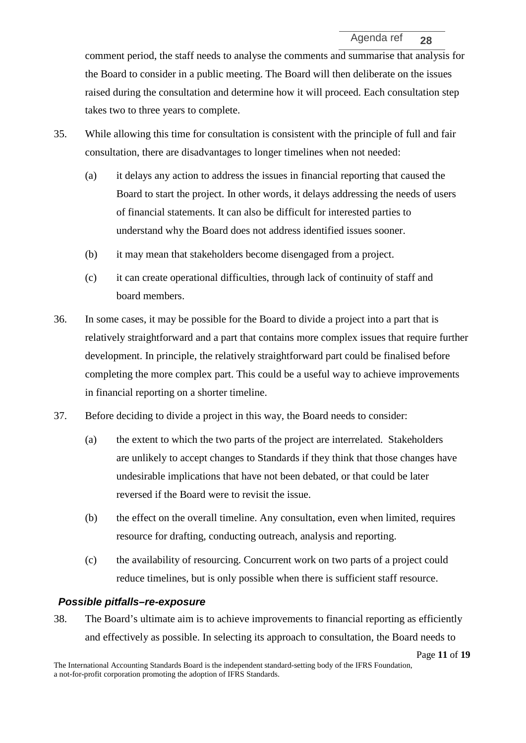comment period, the staff needs to analyse the comments and summarise that analysis for the Board to consider in a public meeting. The Board will then deliberate on the issues raised during the consultation and determine how it will proceed. Each consultation step takes two to three years to complete.

- 35. While allowing this time for consultation is consistent with the principle of full and fair consultation, there are disadvantages to longer timelines when not needed:
	- (a) it delays any action to address the issues in financial reporting that caused the Board to start the project. In other words, it delays addressing the needs of users of financial statements. It can also be difficult for interested parties to understand why the Board does not address identified issues sooner.
	- (b) it may mean that stakeholders become disengaged from a project.
	- (c) it can create operational difficulties, through lack of continuity of staff and board members.
- 36. In some cases, it may be possible for the Board to divide a project into a part that is relatively straightforward and a part that contains more complex issues that require further development. In principle, the relatively straightforward part could be finalised before completing the more complex part. This could be a useful way to achieve improvements in financial reporting on a shorter timeline.
- <span id="page-10-0"></span>37. Before deciding to divide a project in this way, the Board needs to consider:
	- (a) the extent to which the two parts of the project are interrelated. Stakeholders are unlikely to accept changes to Standards if they think that those changes have undesirable implications that have not been debated, or that could be later reversed if the Board were to revisit the issue.
	- (b) the effect on the overall timeline. Any consultation, even when limited, requires resource for drafting, conducting outreach, analysis and reporting.
	- (c) the availability of resourcing. Concurrent work on two parts of a project could reduce timelines, but is only possible when there is sufficient staff resource.

## *Possible pitfalls–re-exposure*

<span id="page-10-1"></span>38. The Board's ultimate aim is to achieve improvements to financial reporting as efficiently and effectively as possible. In selecting its approach to consultation, the Board needs to

Page **11** of **19**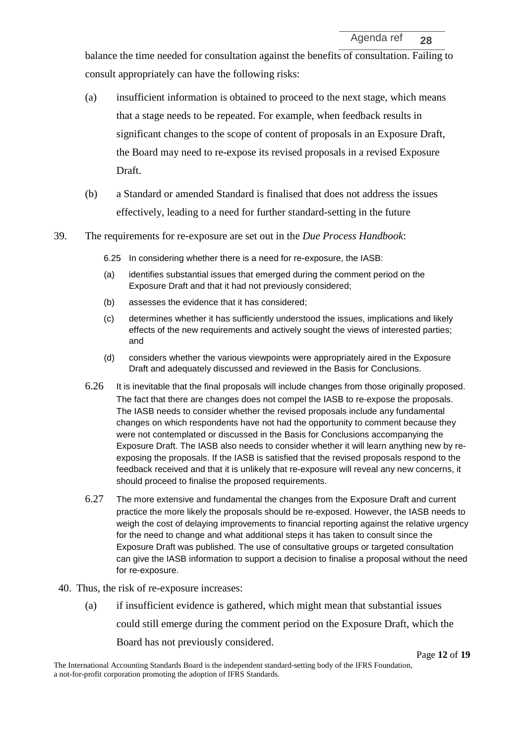balance the time needed for consultation against the benefits of consultation. Failing to consult appropriately can have the following risks:

- (a) insufficient information is obtained to proceed to the next stage, which means that a stage needs to be repeated. For example, when feedback results in significant changes to the scope of content of proposals in an Exposure Draft, the Board may need to re-expose its revised proposals in a revised Exposure Draft.
- (b) a Standard or amended Standard is finalised that does not address the issues effectively, leading to a need for further standard-setting in the future
- 39. The requirements for re-exposure are set out in the *Due Process Handbook*:
	- 6.25 In considering whether there is a need for re-exposure, the IASB:
	- (a) identifies substantial issues that emerged during the comment period on the Exposure Draft and that it had not previously considered;
	- (b) assesses the evidence that it has considered;
	- (c) determines whether it has sufficiently understood the issues, implications and likely effects of the new requirements and actively sought the views of interested parties; and
	- (d) considers whether the various viewpoints were appropriately aired in the Exposure Draft and adequately discussed and reviewed in the Basis for Conclusions.
	- 6.26 It is inevitable that the final proposals will include changes from those originally proposed. The fact that there are changes does not compel the IASB to re-expose the proposals. The IASB needs to consider whether the revised proposals include any fundamental changes on which respondents have not had the opportunity to comment because they were not contemplated or discussed in the Basis for Conclusions accompanying the Exposure Draft. The IASB also needs to consider whether it will learn anything new by reexposing the proposals. If the IASB is satisfied that the revised proposals respond to the feedback received and that it is unlikely that re-exposure will reveal any new concerns, it should proceed to finalise the proposed requirements.
	- 6.27 The more extensive and fundamental the changes from the Exposure Draft and current practice the more likely the proposals should be re-exposed. However, the IASB needs to weigh the cost of delaying improvements to financial reporting against the relative urgency for the need to change and what additional steps it has taken to consult since the Exposure Draft was published. The use of consultative groups or targeted consultation can give the IASB information to support a decision to finalise a proposal without the need for re-exposure.
- 40. Thus, the risk of re-exposure increases:
	- (a) if insufficient evidence is gathered, which might mean that substantial issues could still emerge during the comment period on the Exposure Draft, which the Board has not previously considered.

Page **12** of **19**

The International Accounting Standards Board is the independent standard-setting body of the IFRS Foundation, a not-for-profit corporation promoting the adoption of IFRS Standards.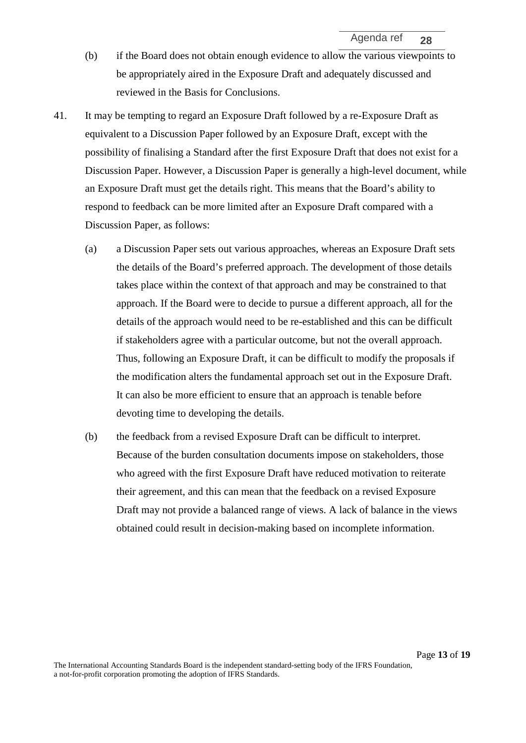- (b) if the Board does not obtain enough evidence to allow the various viewpoints to be appropriately aired in the Exposure Draft and adequately discussed and reviewed in the Basis for Conclusions.
- <span id="page-12-0"></span>41. It may be tempting to regard an Exposure Draft followed by a re-Exposure Draft as equivalent to a Discussion Paper followed by an Exposure Draft, except with the possibility of finalising a Standard after the first Exposure Draft that does not exist for a Discussion Paper. However, a Discussion Paper is generally a high-level document, while an Exposure Draft must get the details right. This means that the Board's ability to respond to feedback can be more limited after an Exposure Draft compared with a Discussion Paper, as follows:
	- (a) a Discussion Paper sets out various approaches, whereas an Exposure Draft sets the details of the Board's preferred approach. The development of those details takes place within the context of that approach and may be constrained to that approach. If the Board were to decide to pursue a different approach, all for the details of the approach would need to be re-established and this can be difficult if stakeholders agree with a particular outcome, but not the overall approach. Thus, following an Exposure Draft, it can be difficult to modify the proposals if the modification alters the fundamental approach set out in the Exposure Draft. It can also be more efficient to ensure that an approach is tenable before devoting time to developing the details.
	- (b) the feedback from a revised Exposure Draft can be difficult to interpret. Because of the burden consultation documents impose on stakeholders, those who agreed with the first Exposure Draft have reduced motivation to reiterate their agreement, and this can mean that the feedback on a revised Exposure Draft may not provide a balanced range of views. A lack of balance in the views obtained could result in decision-making based on incomplete information.

The International Accounting Standards Board is the independent standard-setting body of the IFRS Foundation, a not-for-profit corporation promoting the adoption of IFRS Standards.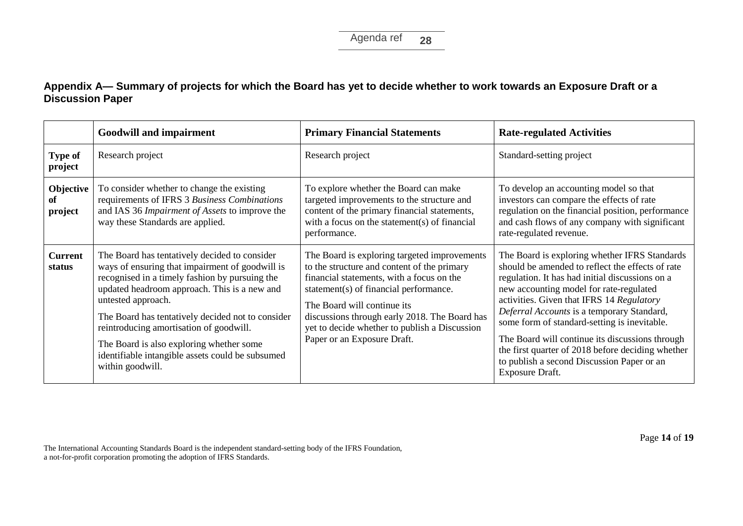# **Appendix A— Summary of projects for which the Board has yet to decide whether to work towards an Exposure Draft or a Discussion Paper**

|                            | <b>Goodwill and impairment</b>                                                                                                                                                                                                                                                                                                                                                                                                               | <b>Primary Financial Statements</b>                                                                                                                                                                                                                                                                                                                | <b>Rate-regulated Activities</b>                                                                                                                                                                                                                                                                                                                                                                                                                                                                                    |
|----------------------------|----------------------------------------------------------------------------------------------------------------------------------------------------------------------------------------------------------------------------------------------------------------------------------------------------------------------------------------------------------------------------------------------------------------------------------------------|----------------------------------------------------------------------------------------------------------------------------------------------------------------------------------------------------------------------------------------------------------------------------------------------------------------------------------------------------|---------------------------------------------------------------------------------------------------------------------------------------------------------------------------------------------------------------------------------------------------------------------------------------------------------------------------------------------------------------------------------------------------------------------------------------------------------------------------------------------------------------------|
| Type of<br>project         | Research project                                                                                                                                                                                                                                                                                                                                                                                                                             | Research project                                                                                                                                                                                                                                                                                                                                   | Standard-setting project                                                                                                                                                                                                                                                                                                                                                                                                                                                                                            |
| Objective<br>оf<br>project | To consider whether to change the existing<br>requirements of IFRS 3 Business Combinations<br>and IAS 36 Impairment of Assets to improve the<br>way these Standards are applied.                                                                                                                                                                                                                                                             | To explore whether the Board can make<br>targeted improvements to the structure and<br>content of the primary financial statements,<br>with a focus on the statement(s) of financial<br>performance.                                                                                                                                               | To develop an accounting model so that<br>investors can compare the effects of rate<br>regulation on the financial position, performance<br>and cash flows of any company with significant<br>rate-regulated revenue.                                                                                                                                                                                                                                                                                               |
| <b>Current</b><br>status   | The Board has tentatively decided to consider<br>ways of ensuring that impairment of goodwill is<br>recognised in a timely fashion by pursuing the<br>updated headroom approach. This is a new and<br>untested approach.<br>The Board has tentatively decided not to consider<br>reintroducing amortisation of goodwill.<br>The Board is also exploring whether some<br>identifiable intangible assets could be subsumed<br>within goodwill. | The Board is exploring targeted improvements<br>to the structure and content of the primary<br>financial statements, with a focus on the<br>statement(s) of financial performance.<br>The Board will continue its<br>discussions through early 2018. The Board has<br>yet to decide whether to publish a Discussion<br>Paper or an Exposure Draft. | The Board is exploring whether IFRS Standards<br>should be amended to reflect the effects of rate<br>regulation. It has had initial discussions on a<br>new accounting model for rate-regulated<br>activities. Given that IFRS 14 Regulatory<br>Deferral Accounts is a temporary Standard,<br>some form of standard-setting is inevitable.<br>The Board will continue its discussions through<br>the first quarter of 2018 before deciding whether<br>to publish a second Discussion Paper or an<br>Exposure Draft. |

The International Accounting Standards Board is the independent standard-setting body of the IFRS Foundation, a not-for-profit corporation promoting the adoption of IFRS Standards.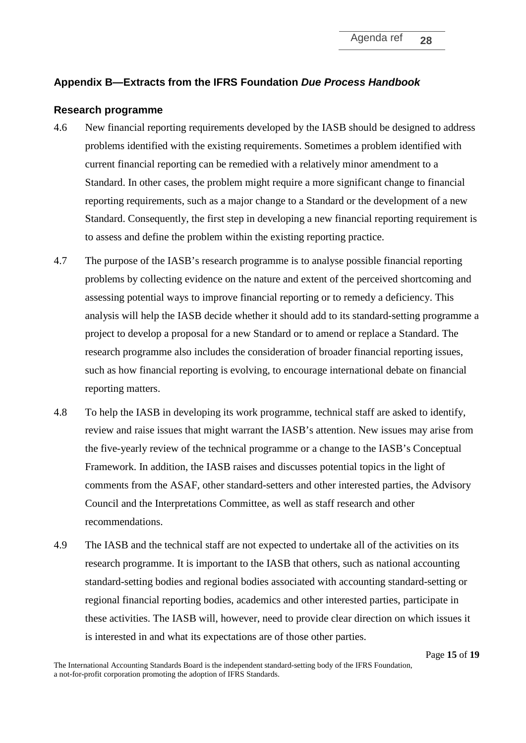#### **Appendix B—Extracts from the IFRS Foundation** *Due Process Handbook*

#### **Research programme**

- 4.6 New financial reporting requirements developed by the IASB should be designed to address problems identified with the existing requirements. Sometimes a problem identified with current financial reporting can be remedied with a relatively minor amendment to a Standard. In other cases, the problem might require a more significant change to financial reporting requirements, such as a major change to a Standard or the development of a new Standard. Consequently, the first step in developing a new financial reporting requirement is to assess and define the problem within the existing reporting practice.
- 4.7 The purpose of the IASB's research programme is to analyse possible financial reporting problems by collecting evidence on the nature and extent of the perceived shortcoming and assessing potential ways to improve financial reporting or to remedy a deficiency. This analysis will help the IASB decide whether it should add to its standard-setting programme a project to develop a proposal for a new Standard or to amend or replace a Standard. The research programme also includes the consideration of broader financial reporting issues, such as how financial reporting is evolving, to encourage international debate on financial reporting matters.
- 4.8 To help the IASB in developing its work programme, technical staff are asked to identify, review and raise issues that might warrant the IASB's attention. New issues may arise from the five-yearly review of the technical programme or a change to the IASB's Conceptual Framework. In addition, the IASB raises and discusses potential topics in the light of comments from the ASAF, other standard-setters and other interested parties, the Advisory Council and the Interpretations Committee, as well as staff research and other recommendations.
- 4.9 The IASB and the technical staff are not expected to undertake all of the activities on its research programme. It is important to the IASB that others, such as national accounting standard-setting bodies and regional bodies associated with accounting standard-setting or regional financial reporting bodies, academics and other interested parties, participate in these activities. The IASB will, however, need to provide clear direction on which issues it is interested in and what its expectations are of those other parties.

Page **15** of **19**

The International Accounting Standards Board is the independent standard-setting body of the IFRS Foundation, a not-for-profit corporation promoting the adoption of IFRS Standards.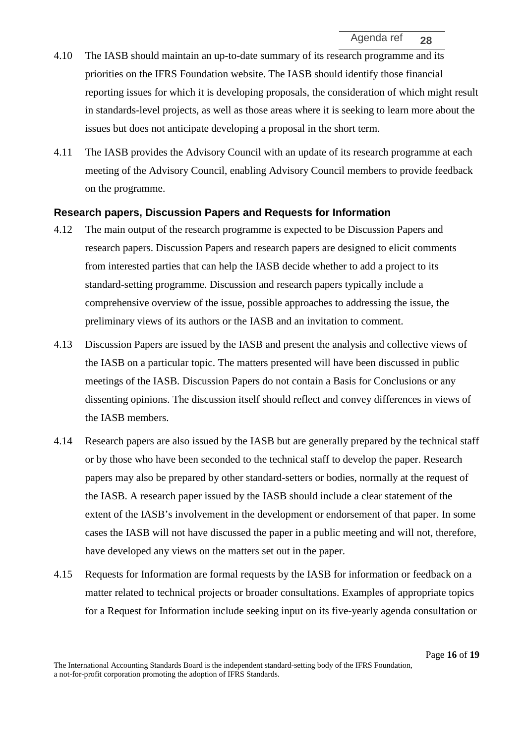- 4.10 The IASB should maintain an up-to-date summary of its research programme and its priorities on the IFRS Foundation website. The IASB should identify those financial reporting issues for which it is developing proposals, the consideration of which might result in standards-level projects, as well as those areas where it is seeking to learn more about the issues but does not anticipate developing a proposal in the short term.
- 4.11 The IASB provides the Advisory Council with an update of its research programme at each meeting of the Advisory Council, enabling Advisory Council members to provide feedback on the programme.

#### **Research papers, Discussion Papers and Requests for Information**

- 4.12 The main output of the research programme is expected to be Discussion Papers and research papers. Discussion Papers and research papers are designed to elicit comments from interested parties that can help the IASB decide whether to add a project to its standard-setting programme. Discussion and research papers typically include a comprehensive overview of the issue, possible approaches to addressing the issue, the preliminary views of its authors or the IASB and an invitation to comment.
- 4.13 Discussion Papers are issued by the IASB and present the analysis and collective views of the IASB on a particular topic. The matters presented will have been discussed in public meetings of the IASB. Discussion Papers do not contain a Basis for Conclusions or any dissenting opinions. The discussion itself should reflect and convey differences in views of the IASB members.
- 4.14 Research papers are also issued by the IASB but are generally prepared by the technical staff or by those who have been seconded to the technical staff to develop the paper. Research papers may also be prepared by other standard-setters or bodies, normally at the request of the IASB. A research paper issued by the IASB should include a clear statement of the extent of the IASB's involvement in the development or endorsement of that paper. In some cases the IASB will not have discussed the paper in a public meeting and will not, therefore, have developed any views on the matters set out in the paper.
- 4.15 Requests for Information are formal requests by the IASB for information or feedback on a matter related to technical projects or broader consultations. Examples of appropriate topics for a Request for Information include seeking input on its five-yearly agenda consultation or

The International Accounting Standards Board is the independent standard-setting body of the IFRS Foundation, a not-for-profit corporation promoting the adoption of IFRS Standards.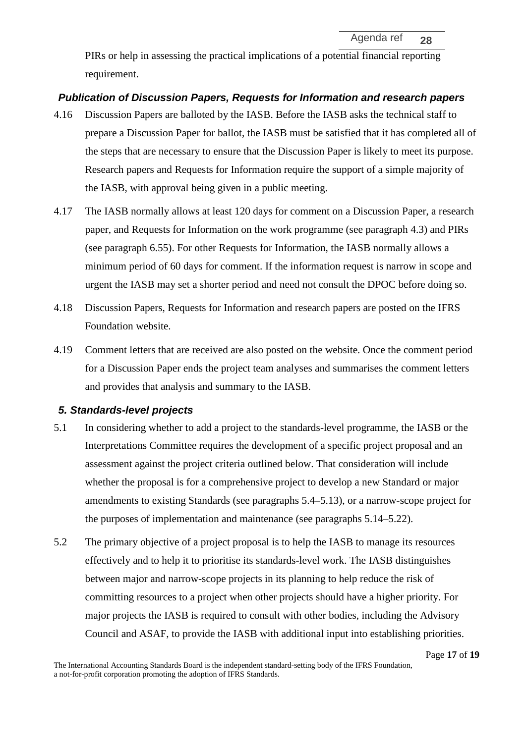PIRs or help in assessing the practical implications of a potential financial reporting requirement.

# *Publication of Discussion Papers, Requests for Information and research papers*

- 4.16 Discussion Papers are balloted by the IASB. Before the IASB asks the technical staff to prepare a Discussion Paper for ballot, the IASB must be satisfied that it has completed all of the steps that are necessary to ensure that the Discussion Paper is likely to meet its purpose. Research papers and Requests for Information require the support of a simple majority of the IASB, with approval being given in a public meeting.
- 4.17 The IASB normally allows at least 120 days for comment on a Discussion Paper, a research paper, and Requests for Information on the work programme (see paragraph 4.3) and PIRs (see paragraph 6.55). For other Requests for Information, the IASB normally allows a minimum period of 60 days for comment. If the information request is narrow in scope and urgent the IASB may set a shorter period and need not consult the DPOC before doing so.
- 4.18 Discussion Papers, Requests for Information and research papers are posted on the IFRS Foundation website.
- 4.19 Comment letters that are received are also posted on the website. Once the comment period for a Discussion Paper ends the project team analyses and summarises the comment letters and provides that analysis and summary to the IASB.

## *5. Standards-level projects*

- 5.1 In considering whether to add a project to the standards-level programme, the IASB or the Interpretations Committee requires the development of a specific project proposal and an assessment against the project criteria outlined below. That consideration will include whether the proposal is for a comprehensive project to develop a new Standard or major amendments to existing Standards (see paragraphs 5.4–5.13), or a narrow-scope project for the purposes of implementation and maintenance (see paragraphs 5.14–5.22).
- 5.2 The primary objective of a project proposal is to help the IASB to manage its resources effectively and to help it to prioritise its standards-level work. The IASB distinguishes between major and narrow-scope projects in its planning to help reduce the risk of committing resources to a project when other projects should have a higher priority. For major projects the IASB is required to consult with other bodies, including the Advisory Council and ASAF, to provide the IASB with additional input into establishing priorities.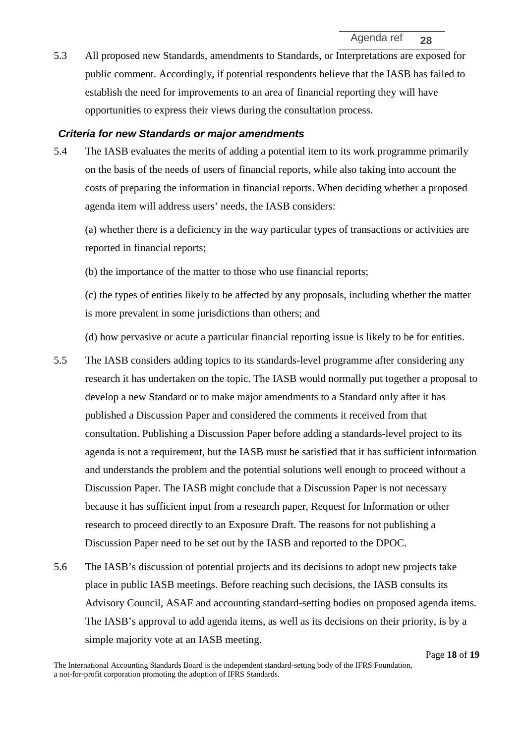5.3 All proposed new Standards, amendments to Standards, or Interpretations are exposed for public comment. Accordingly, if potential respondents believe that the IASB has failed to establish the need for improvements to an area of financial reporting they will have opportunities to express their views during the consultation process.

#### *Criteria for new Standards or major amendments*

5.4 The IASB evaluates the merits of adding a potential item to its work programme primarily on the basis of the needs of users of financial reports, while also taking into account the costs of preparing the information in financial reports. When deciding whether a proposed agenda item will address users' needs, the IASB considers:

(a) whether there is a deficiency in the way particular types of transactions or activities are reported in financial reports;

(b) the importance of the matter to those who use financial reports;

(c) the types of entities likely to be affected by any proposals, including whether the matter is more prevalent in some jurisdictions than others; and

(d) how pervasive or acute a particular financial reporting issue is likely to be for entities.

- 5.5 The IASB considers adding topics to its standards-level programme after considering any research it has undertaken on the topic. The IASB would normally put together a proposal to develop a new Standard or to make major amendments to a Standard only after it has published a Discussion Paper and considered the comments it received from that consultation. Publishing a Discussion Paper before adding a standards-level project to its agenda is not a requirement, but the IASB must be satisfied that it has sufficient information and understands the problem and the potential solutions well enough to proceed without a Discussion Paper. The IASB might conclude that a Discussion Paper is not necessary because it has sufficient input from a research paper, Request for Information or other research to proceed directly to an Exposure Draft. The reasons for not publishing a Discussion Paper need to be set out by the IASB and reported to the DPOC.
- 5.6 The IASB's discussion of potential projects and its decisions to adopt new projects take place in public IASB meetings. Before reaching such decisions, the IASB consults its Advisory Council, ASAF and accounting standard-setting bodies on proposed agenda items. The IASB's approval to add agenda items, as well as its decisions on their priority, is by a simple majority vote at an IASB meeting.

Page **18** of **19**

The International Accounting Standards Board is the independent standard-setting body of the IFRS Foundation, a not-for-profit corporation promoting the adoption of IFRS Standards.